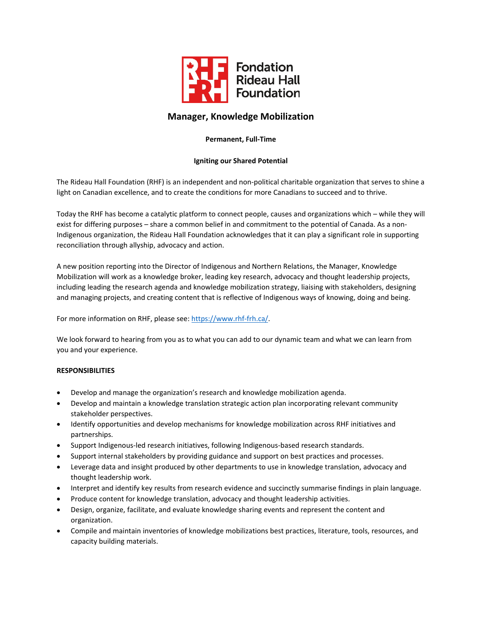

# **Manager, Knowledge Mobilization**

# **Permanent, Full‐Time**

# **Igniting our Shared Potential**

The Rideau Hall Foundation (RHF) is an independent and non‐political charitable organization that serves to shine a light on Canadian excellence, and to create the conditions for more Canadians to succeed and to thrive.

Today the RHF has become a catalytic platform to connect people, causes and organizations which – while they will exist for differing purposes – share a common belief in and commitment to the potential of Canada. As a non-Indigenous organization, the Rideau Hall Foundation acknowledges that it can play a significant role in supporting reconciliation through allyship, advocacy and action.

A new position reporting into the Director of Indigenous and Northern Relations, the Manager, Knowledge Mobilization will work as a knowledge broker, leading key research, advocacy and thought leadership projects, including leading the research agenda and knowledge mobilization strategy, liaising with stakeholders, designing and managing projects, and creating content that is reflective of Indigenous ways of knowing, doing and being.

For more information on RHF, please see: https://www.rhf-frh.ca/.

We look forward to hearing from you as to what you can add to our dynamic team and what we can learn from you and your experience.

### **RESPONSIBILITIES**

- Develop and manage the organization's research and knowledge mobilization agenda.
- Develop and maintain a knowledge translation strategic action plan incorporating relevant community stakeholder perspectives.
- Identify opportunities and develop mechanisms for knowledge mobilization across RHF initiatives and partnerships.
- Support Indigenous‐led research initiatives, following Indigenous‐based research standards.
- Support internal stakeholders by providing guidance and support on best practices and processes.
- Leverage data and insight produced by other departments to use in knowledge translation, advocacy and thought leadership work.
- Interpret and identify key results from research evidence and succinctly summarise findings in plain language.
- Produce content for knowledge translation, advocacy and thought leadership activities.
- Design, organize, facilitate, and evaluate knowledge sharing events and represent the content and organization.
- Compile and maintain inventories of knowledge mobilizations best practices, literature, tools, resources, and capacity building materials.